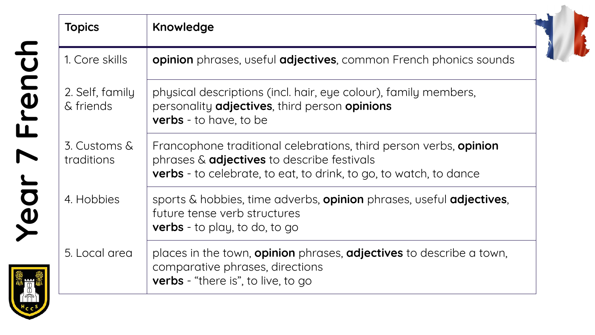| <b>UC</b>                |  |
|--------------------------|--|
| Ć                        |  |
|                          |  |
| $\overline{\phantom{a}}$ |  |
|                          |  |
|                          |  |
|                          |  |
|                          |  |
| <b>UDD</b>               |  |
|                          |  |
|                          |  |
|                          |  |
|                          |  |
|                          |  |
|                          |  |

| <b>Topics</b>                | Knowledge                                                                                                                                                                                          |
|------------------------------|----------------------------------------------------------------------------------------------------------------------------------------------------------------------------------------------------|
| 1. Core skills               | opinion phrases, useful adjectives, common French phonics sounds                                                                                                                                   |
| 2. Self, family<br>& friends | physical descriptions (incl. hair, eye colour), family members,<br>personality <b>adjectives</b> , third person <b>opinions</b><br><b>verbs</b> - to have, to be                                   |
| 3. Customs &<br>traditions   | Francophone traditional celebrations, third person verbs, opinion<br>phrases & <b>adjectives</b> to describe festivals<br><b>verbs</b> - to celebrate, to eat, to drink, to go, to watch, to dance |
| 4. Hobbies                   | sports & hobbies, time adverbs, <b>opinion</b> phrases, useful <b>adjectives</b> ,<br>future tense verb structures<br><b>verbs</b> - to play, to do, to go                                         |
| 5. Local area                | places in the town, <b>opinion</b> phrases, <b>adjectives</b> to describe a town,<br>comparative phrases, directions<br><b>verbs</b> - "there is", to live, to go                                  |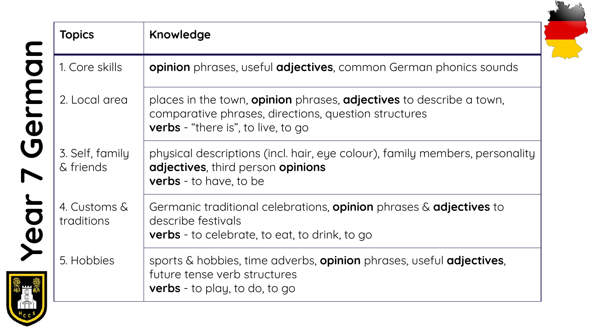| <b>Topics</b>                | Knowledge                                                                                                                                                                              |
|------------------------------|----------------------------------------------------------------------------------------------------------------------------------------------------------------------------------------|
| 1. Core skills               | <b>opinion</b> phrases, useful <b>adjectives</b> , common German phonics sounds                                                                                                        |
| 2. Local area                | places in the town, <b>opinion</b> phrases, <b>adjectives</b> to describe a town,<br>comparative phrases, directions, question structures<br><b>verbs</b> - "there is", to live, to go |
| 3. Self, family<br>& friends | physical descriptions (incl. hair, eye colour), family members, personality<br>adjectives, third person opinions<br><b>verbs</b> - to have, to be                                      |
| 4. Customs &<br>traditions   | Germanic traditional celebrations, <b>opinion</b> phrases $\&$ <b>adjectives</b> to<br>describe festivals<br><b>verbs</b> - to celebrate, to eat, to drink, to go                      |
| 5. Hobbies                   | sports & hobbies, time adverbs, opinion phrases, useful adjectives,<br>future tense verb structures<br><b>verbs</b> - to play, to do, to go                                            |

S.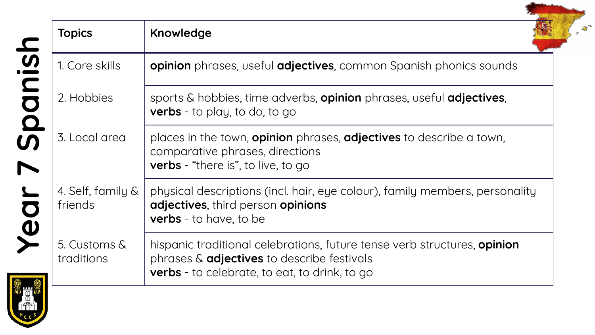| <b>Topics</b>                | Knowledge                                                                                                                                                                      |
|------------------------------|--------------------------------------------------------------------------------------------------------------------------------------------------------------------------------|
| 1. Core skills               | opinion phrases, useful adjectives, common Spanish phonics sounds                                                                                                              |
| 2. Hobbies                   | sports & hobbies, time adverbs, opinion phrases, useful adjectives,<br><b>verbs</b> - to play, to do, to go                                                                    |
| 3. Local area                | places in the town, <b>opinion</b> phrases, <b>adjectives</b> to describe a town,<br>comparative phrases, directions<br><b>verbs</b> - "there is", to live, to go              |
| 4. Self, family &<br>friends | physical descriptions (incl. hair, eye colour), family members, personality<br>adjectives, third person opinions<br>verbs - to have, to be                                     |
| 5. Customs &<br>traditions   | hispanic traditional celebrations, future tense verb structures, opinion<br>phrases & <b>adjectives</b> to describe festivals<br>verbs - to celebrate, to eat, to drink, to go |

 $\int_{a}^{b}$ 

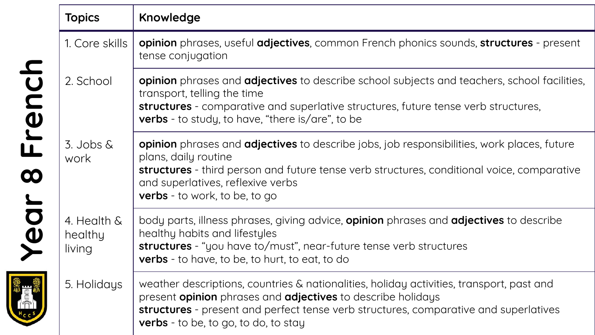|            | <b>Topics</b>                    | Knowledge                                                                                                                                                                                                                                                                                                   |
|------------|----------------------------------|-------------------------------------------------------------------------------------------------------------------------------------------------------------------------------------------------------------------------------------------------------------------------------------------------------------|
|            | 1. Core skills                   | opinion phrases, useful adjectives, common French phonics sounds, structures - present<br>tense conjugation                                                                                                                                                                                                 |
| French     | 2. School                        | <b>opinion</b> phrases and <b>adjectives</b> to describe school subjects and teachers, school facilities,<br>transport, telling the time<br>structures - comparative and superlative structures, future tense verb structures,<br><b>verbs</b> - to study, to have, "there is/are", to be                   |
| $\infty$   | $3.$ Jobs $\&$<br>work           | <b>opinion</b> phrases and <b>adjectives</b> to describe jobs, job responsibilities, work places, future<br>plans, daily routine<br>structures - third person and future tense verb structures, conditional voice, comparative<br>and superlatives, reflexive verbs<br><b>verbs</b> - to work, to be, to go |
| Year       | 4. Health &<br>healthy<br>living | body parts, illness phrases, giving advice, <b>opinion</b> phrases and <b>adjectives</b> to describe<br>healthy habits and lifestyles<br>structures - "you have to/must", near-future tense verb structures<br><b>verbs</b> - to have, to be, to hurt, to eat, to do                                        |
| <b>Tea</b> | 5. Holidays                      | weather descriptions, countries & nationalities, holiday activities, transport, past and<br>present opinion phrases and adjectives to describe holidays<br>structures - present and perfect tense verb structures, comparative and superlatives<br><b>verbs</b> - to be, to go, to do, to stay              |

**SIGOSTIC**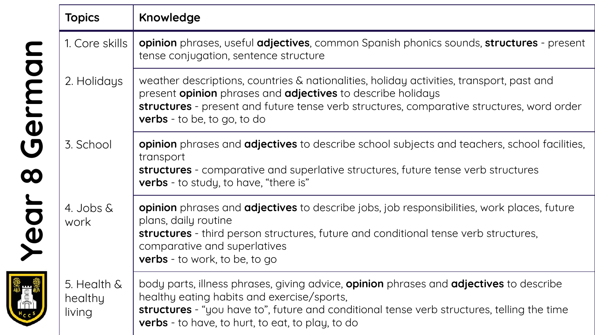|                       | <b>Topics</b>                    | Knowledge                                                                                                                                                                                                                                                                                                |
|-----------------------|----------------------------------|----------------------------------------------------------------------------------------------------------------------------------------------------------------------------------------------------------------------------------------------------------------------------------------------------------|
|                       | 1. Core skills                   | opinion phrases, useful adjectives, common Spanish phonics sounds, structures - present<br>tense conjugation, sentence structure                                                                                                                                                                         |
| Germar                | 2. Holidays                      | weather descriptions, countries & nationalities, holiday activities, transport, past and<br>present <b>opinion</b> phrases and <b>adjectives</b> to describe holidays<br>structures - present and future tense verb structures, comparative structures, word order<br><b>verbs</b> - to be, to go, to do |
| $\boldsymbol{\infty}$ | 3. School                        | opinion phrases and adjectives to describe school subjects and teachers, school facilities,<br>transport<br>structures - comparative and superlative structures, future tense verb structures<br><b>verbs</b> - to study, to have, "there is"                                                            |
| Year                  | 4. Jobs &<br>work                | <b>opinion</b> phrases and <b>adjectives</b> to describe jobs, job responsibilities, work places, future<br>plans, daily routine<br><b>structures</b> - third person structures, future and conditional tense verb structures,<br>comparative and superlatives<br><b>verbs</b> - to work, to be, to go   |
|                       | 5. Health &<br>healthy<br>living | body parts, illness phrases, giving advice, opinion phrases and adjectives to describe<br>healthy eating habits and exercise/sports,<br>structures - "you have to", future and conditional tense verb structures, telling the time<br><b>verbs</b> - to have, to hurt, to eat, to play, to do            |

**SECTED**